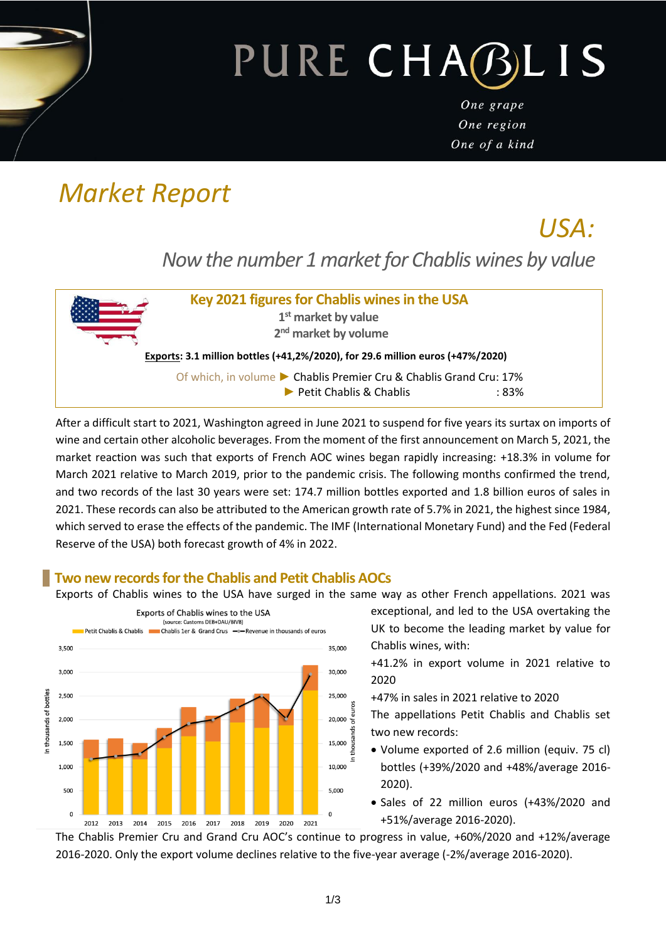# PURE CHABLIS

One grape One region One of a kind

# *Market Report*

*USA: Now the number 1 market for Chablis wines by value* 



After a difficult start to 2021, Washington agreed in June 2021 to suspend for five years its surtax on imports of wine and certain other alcoholic beverages. From the moment of the first announcement on March 5, 2021, the market reaction was such that exports of French AOC wines began rapidly increasing: +18.3% in volume for March 2021 relative to March 2019, prior to the pandemic crisis. The following months confirmed the trend, and two records of the last 30 years were set: 174.7 million bottles exported and 1.8 billion euros of sales in 2021. These records can also be attributed to the American growth rate of 5.7% in 2021, the highest since 1984, which served to erase the effects of the pandemic. The IMF (International Monetary Fund) and the Fed (Federal Reserve of the USA) both forecast growth of 4% in 2022.

## **Two new records for the Chablis and Petit Chablis AOCs**

Exports of Chablis wines to the USA have surged in the same way as other French appellations. 2021 was



exceptional, and led to the USA overtaking the UK to become the leading market by value for Chablis wines, with:

+41.2% in export volume in 2021 relative to 2020

+47% in sales in 2021 relative to 2020

The appellations Petit Chablis and Chablis set two new records:

- Volume exported of 2.6 million (equiv. 75 cl) bottles (+39%/2020 and +48%/average 2016- 2020).
- Sales of 22 million euros (+43%/2020 and +51%/average 2016-2020).

The Chablis Premier Cru and Grand Cru AOC's continue to progress in value, +60%/2020 and +12%/average 2016-2020. Only the export volume declines relative to the five-year average (-2%/average 2016-2020).

iesni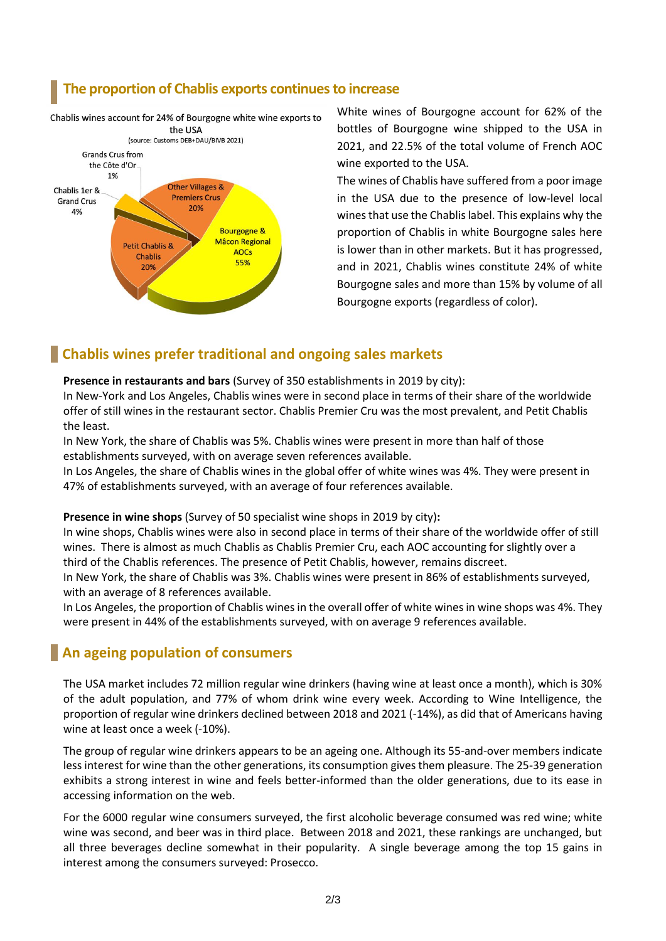#### **The proportion of Chablis exports continues to increase**



White wines of Bourgogne account for 62% of the bottles of Bourgogne wine shipped to the USA in 2021, and 22.5% of the total volume of French AOC wine exported to the USA.

The wines of Chablis have suffered from a poor image in the USA due to the presence of low-level local wines that use the Chablis label. This explains why the proportion of Chablis in white Bourgogne sales here is lower than in other markets. But it has progressed, and in 2021, Chablis wines constitute 24% of white Bourgogne sales and more than 15% by volume of all Bourgogne exports (regardless of color).

### **Chablis wines prefer traditional and ongoing sales markets**

#### **Presence in restaurants and bars** (Survey of 350 establishments in 2019 by city):

In New-York and Los Angeles, Chablis wines were in second place in terms of their share of the worldwide offer of still wines in the restaurant sector. Chablis Premier Cru was the most prevalent, and Petit Chablis the least.

In New York, the share of Chablis was 5%. Chablis wines were present in more than half of those establishments surveyed, with on average seven references available.

In Los Angeles, the share of Chablis wines in the global offer of white wines was 4%. They were present in 47% of establishments surveyed, with an average of four references available.

#### **Presence in wine shops** (Survey of 50 specialist wine shops in 2019 by city)**:**

In wine shops, Chablis wines were also in second place in terms of their share of the worldwide offer of still wines. There is almost as much Chablis as Chablis Premier Cru, each AOC accounting for slightly over a third of the Chablis references. The presence of Petit Chablis, however, remains discreet. In New York, the share of Chablis was 3%. Chablis wines were present in 86% of establishments surveyed,

with an average of 8 references available.

In Los Angeles, the proportion of Chablis wines in the overall offer of white wines in wine shops was 4%. They were present in 44% of the establishments surveyed, with on average 9 references available.

#### **An ageing population of consumers**

The USA market includes 72 million regular wine drinkers (having wine at least once a month), which is 30% of the adult population, and 77% of whom drink wine every week. According to Wine Intelligence, the proportion of regular wine drinkers declined between 2018 and 2021 (-14%), as did that of Americans having wine at least once a week (-10%).

The group of regular wine drinkers appears to be an ageing one. Although its 55-and-over members indicate less interest for wine than the other generations, its consumption gives them pleasure. The 25-39 generation exhibits a strong interest in wine and feels better-informed than the older generations, due to its ease in accessing information on the web.

For the 6000 regular wine consumers surveyed, the first alcoholic beverage consumed was red wine; white wine was second, and beer was in third place. Between 2018 and 2021, these rankings are unchanged, but all three beverages decline somewhat in their popularity. A single beverage among the top 15 gains in interest among the consumers surveyed: Prosecco.